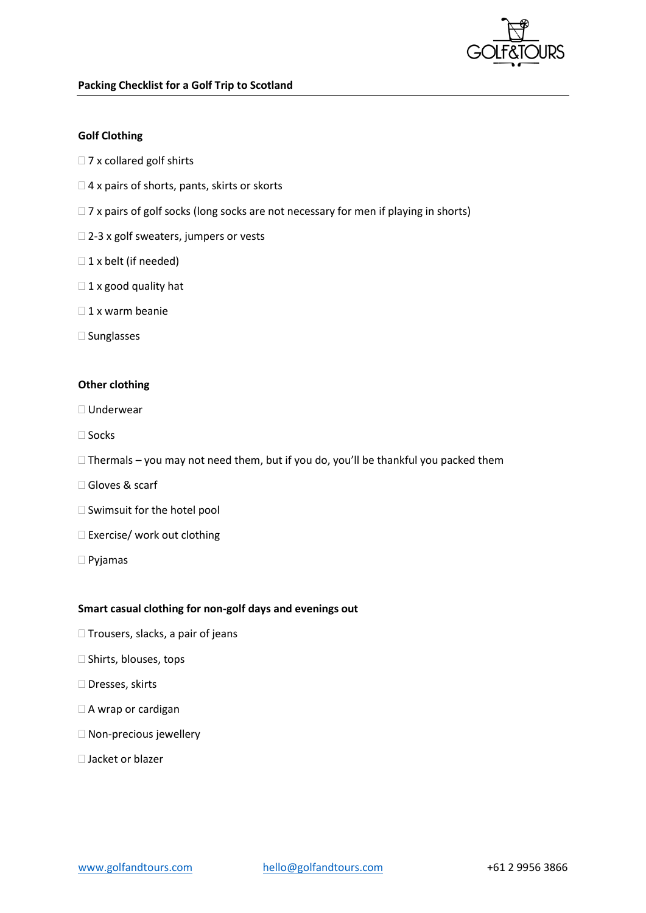

## **Golf Clothing**

- $\square$  7 x collared golf shirts
- $\Box$  4 x pairs of shorts, pants, skirts or skorts
- $\Box$  7 x pairs of golf socks (long socks are not necessary for men if playing in shorts)
- □ 2-3 x golf sweaters, jumpers or vests
- $\Box$  1 x belt (if needed)
- $\Box$  1 x good quality hat
- $\Box$  1 x warm beanie
- $\square$  Sunglasses

## **Other clothing**

- Underwear
- $\Box$  Socks
- $\Box$  Thermals you may not need them, but if you do, you'll be thankful you packed them
- Gloves & scarf
- $\square$  Swimsuit for the hotel pool
- □ Exercise/ work out clothing
- Pyjamas

## **Smart casual clothing for non-golf days and evenings out**

- $\Box$  Trousers, slacks, a pair of jeans
- $\square$  Shirts, blouses, tops
- □ Dresses, skirts
- □ A wrap or cardigan
- $\square$  Non-precious jewellery
- □ Jacket or blazer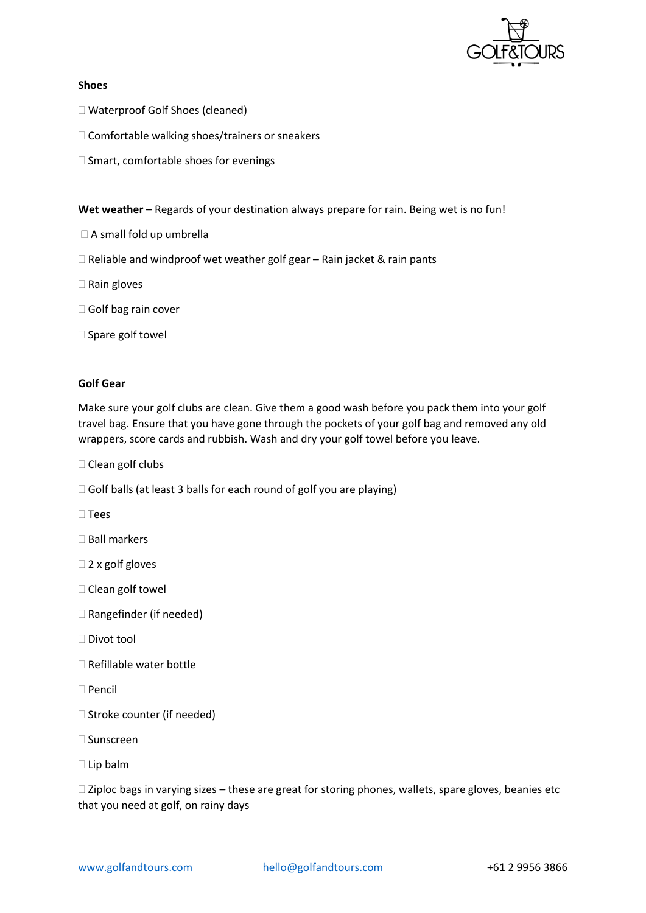

## **Shoes**

- Waterproof Golf Shoes (cleaned)
- Comfortable walking shoes/trainers or sneakers
- $\square$  Smart, comfortable shoes for evenings

**Wet weather** – Regards of your destination always prepare for rain. Being wet is no fun!

- A small fold up umbrella
- $\Box$  Reliable and windproof wet weather golf gear Rain jacket & rain pants
- $\Box$  Rain gloves
- □ Golf bag rain cover
- $\square$  Spare golf towel

## **Golf Gear**

Make sure your golf clubs are clean. Give them a good wash before you pack them into your golf travel bag. Ensure that you have gone through the pockets of your golf bag and removed any old wrappers, score cards and rubbish. Wash and dry your golf towel before you leave.

□ Clean golf clubs

- $\Box$  Golf balls (at least 3 balls for each round of golf you are playing)
- $\square$  Tees
- □ Ball markers
- $\Box$  2 x golf gloves
- $\square$  Clean golf towel
- □ Rangefinder (if needed)
- Divot tool
- $\Box$  Refillable water bottle
- □ Pencil
- $\Box$  Stroke counter (if needed)
- □ Sunscreen
- Lip balm

 $\Box$  Ziploc bags in varying sizes – these are great for storing phones, wallets, spare gloves, beanies etc that you need at golf, on rainy days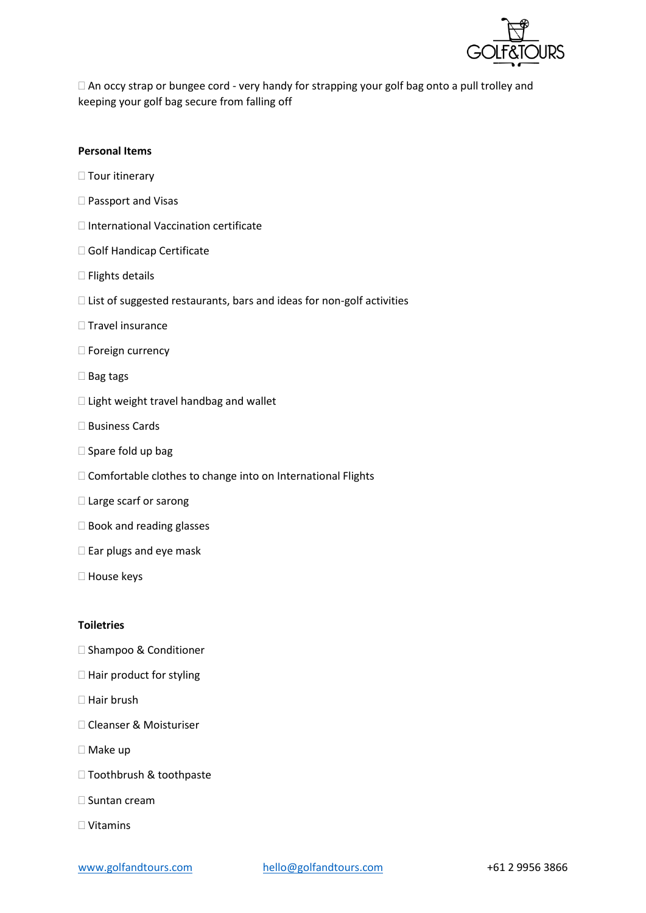

□ An occy strap or bungee cord - very handy for strapping your golf bag onto a pull trolley and keeping your golf bag secure from falling off

## **Personal Items**

- $\Box$  Tour itinerary
- □ Passport and Visas
- $\Box$  International Vaccination certificate
- Golf Handicap Certificate
- $\square$  Flights details
- $\Box$  List of suggested restaurants, bars and ideas for non-golf activities
- $\square$  Travel insurance
- □ Foreign currency
- $\square$  Bag tags
- $\Box$  Light weight travel handbag and wallet
- □ Business Cards
- $\square$  Spare fold up bag
- $\Box$  Comfortable clothes to change into on International Flights
- □ Large scarf or sarong
- $\square$  Book and reading glasses
- $\square$  Ear plugs and eye mask
- □ House keys

#### **Toiletries**

- □ Shampoo & Conditioner
- $\Box$  Hair product for styling
- $\Box$  Hair brush
- □ Cleanser & Moisturiser
- Make up
- □ Toothbrush & toothpaste
- $\square$  Suntan cream
- Vitamins